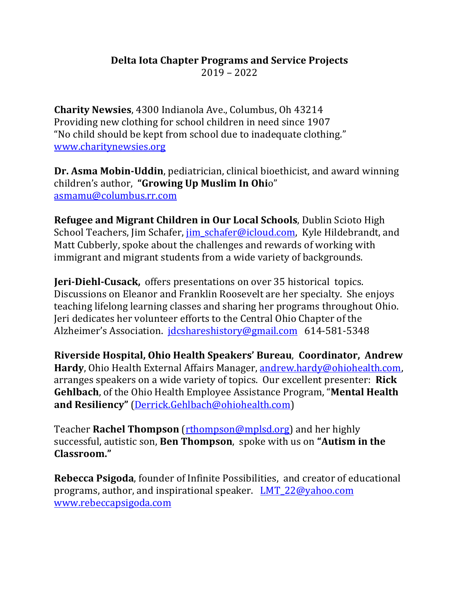## **Delta Iota Chapter Programs and Service Projects**  $2019 - 2022$

**Charity Newsies, 4300 Indianola Ave., Columbus, Oh 43214** Providing new clothing for school children in need since 1907 "No child should be kept from school due to inadequate clothing." www.charitynewsies.org

**Dr. Asma Mobin-Uddin**, pediatrician, clinical bioethicist, and award winning children's author, "Growing Up Muslim In Ohio" asmamu@columbus.rr.com

**Refugee and Migrant Children in Our Local Schools**, Dublin Scioto High School Teachers, Jim Schafer, *jim\_schafer@icloud.com*, Kyle Hildebrandt, and Matt Cubberly, spoke about the challenges and rewards of working with immigrant and migrant students from a wide variety of backgrounds.

**Jeri-Diehl-Cusack,** offers presentations on over 35 historical topics. Discussions on Eleanor and Franklin Roosevelt are her specialty. She enjoys teaching lifelong learning classes and sharing her programs throughout Ohio. Jeri dedicates her volunteer efforts to the Central Ohio Chapter of the Alzheimer's Association. *idcshareshistory@gmail.com 614-581-5348* 

**Riverside Hospital, Ohio Health Speakers' Bureau, Coordinator, Andrew Hardy**, Ohio Health External Affairs Manager, andrew.hardy@ohiohealth.com, arranges speakers on a wide variety of topics. Our excellent presenter: **Rick Gehlbach**, of the Ohio Health Employee Assistance Program, "**Mental Health** and Resiliency" (Derrick.Gehlbach@ohiohealth.com)

Teacher **Rachel Thompson** (rthompson@mplsd.org) and her highly successful, autistic son, **Ben Thompson**, spoke with us on "Autism in the **Classroom."**

**Rebecca Psigoda**, founder of Infinite Possibilities, and creator of educational programs, author, and inspirational speaker.  $LMT$  22@yahoo.com www.rebeccapsigoda.com